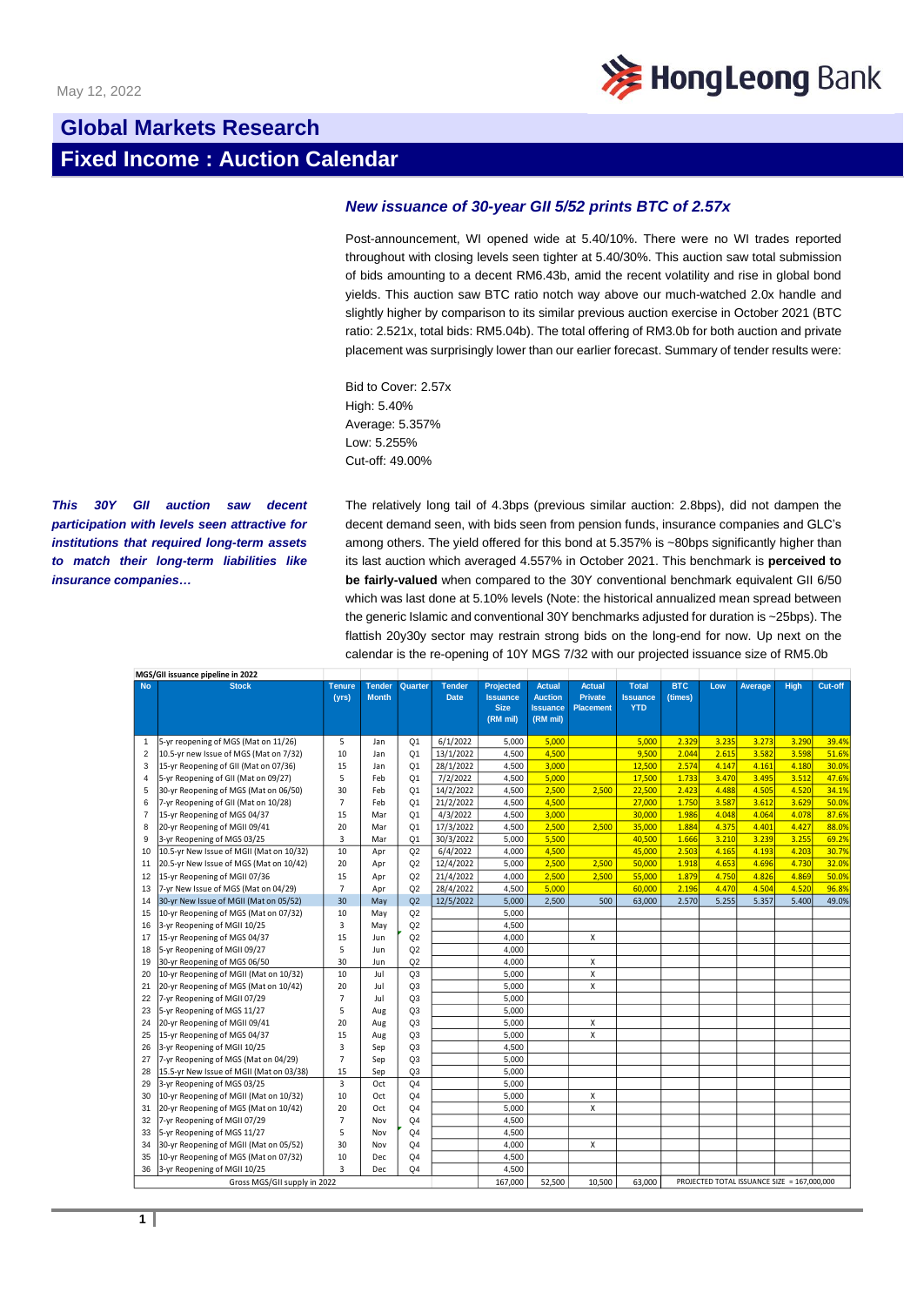

## **Global Markets Research Fixed Income : Auction Calendar**

## *New issuance of 30-year GII 5/52 prints BTC of 2.57x*

Post-announcement, WI opened wide at 5.40/10%. There were no WI trades reported throughout with closing levels seen tighter at 5.40/30%. This auction saw total submission of bids amounting to a decent RM6.43b, amid the recent volatility and rise in global bond yields. This auction saw BTC ratio notch way above our much-watched 2.0x handle and slightly higher by comparison to its similar previous auction exercise in October 2021 (BTC ratio: 2.521x, total bids: RM5.04b). The total offering of RM3.0b for both auction and private placement was surprisingly lower than our earlier forecast. Summary of tender results were:

Bid to Cover: 2.57x High: 5.40% Average: 5.357% Low: 5.255% Cut-off: 49.00%

*This 30Y GII auction saw decent participation with levels seen attractive for institutions that required long-term assets to match their long-term liabilities like insurance companies…*

The relatively long tail of 4.3bps (previous similar auction: 2.8bps), did not dampen the decent demand seen, with bids seen from pension funds, insurance companies and GLC's among others. The yield offered for this bond at 5.357% is ~80bps significantly higher than its last auction which averaged 4.557% in October 2021. This benchmark is **perceived to be fairly-valued** when compared to the 30Y conventional benchmark equivalent GII 6/50 which was last done at 5.10% levels (Note: the historical annualized mean spread between the generic Islamic and conventional 30Y benchmarks adjusted for duration is ~25bps). The flattish 20y30y sector may restrain strong bids on the long-end for now. Up next on the calendar is the re-opening of 10Y MGS 7/32 with our projected issuance size of RM5.0b

|                              | MGS/GII issuance pipeline in 2022        |                        |                               |                |                              |                                                                |                                                                |                                                     |                                               |                       |                                             |         |       |         |  |
|------------------------------|------------------------------------------|------------------------|-------------------------------|----------------|------------------------------|----------------------------------------------------------------|----------------------------------------------------------------|-----------------------------------------------------|-----------------------------------------------|-----------------------|---------------------------------------------|---------|-------|---------|--|
| <b>No</b>                    | <b>Stock</b>                             | <b>Tenure</b><br>(vrs) | <b>Tender</b><br><b>Month</b> | Quarter        | <b>Tender</b><br><b>Date</b> | <b>Projected</b><br><b>Issuance</b><br><b>Size</b><br>(RM mil) | <b>Actual</b><br><b>Auction</b><br><b>Issuance</b><br>(RM mil) | <b>Actual</b><br><b>Private</b><br><b>Placement</b> | <b>Total</b><br><b>Issuance</b><br><b>YTD</b> | <b>BTC</b><br>(times) | Low                                         | Average | High  | Cut-off |  |
| $\mathbf{1}$                 | 5-yr reopening of MGS (Mat on 11/26)     | 5                      | Jan                           | O <sub>1</sub> | 6/1/2022                     | 5,000                                                          | 5,000                                                          |                                                     | 5,000                                         | 2.329                 | 3.235                                       | 3.273   | 3.290 | 39.4%   |  |
| $\overline{2}$               | 10.5-yr new Issue of MGS (Mat on 7/32)   | 10                     | Jan                           | Q <sub>1</sub> | 13/1/2022                    | 4,500                                                          | 4,500                                                          |                                                     | 9,500                                         | 2.044                 | 2.615                                       | 3.582   | 3.598 | 51.6%   |  |
| 3                            | 15-yr Reopening of GII (Mat on 07/36)    | 15                     | Jan                           | Q <sub>1</sub> | 28/1/2022                    | 4,500                                                          | 3,000                                                          |                                                     | 12,500                                        | 2.574                 | 4.147                                       | 4.161   | 4.180 | 30.0%   |  |
| 4                            | 5-yr Reopening of GII (Mat on 09/27)     | 5                      | Feb                           | Q <sub>1</sub> | 7/2/2022                     | 4,500                                                          | 5,000                                                          |                                                     | 17,500                                        | 1.733                 | 3.470                                       | 3.495   | 3.512 | 47.6%   |  |
| 5                            | 30-yr Reopening of MGS (Mat on 06/50)    | 30                     | Feb                           | Q <sub>1</sub> | 14/2/2022                    | 4,500                                                          | 2,500                                                          | 2,500                                               | 22,500                                        | 2.423                 | 4.488                                       | 4.505   | 4.520 | 34.1%   |  |
| 6                            | 7-yr Reopening of GII (Mat on 10/28)     | $\overline{7}$         | Feb                           | Q <sub>1</sub> | 21/2/2022                    | 4,500                                                          | 4,500                                                          |                                                     | 27,000                                        | 1.750                 | 3.587                                       | 3.612   | 3.629 | 50.0%   |  |
| $\overline{7}$               | 15-yr Reopening of MGS 04/37             | 15                     | Mar                           | Q <sub>1</sub> | 4/3/2022                     | 4.500                                                          | 3.000                                                          |                                                     | 30,000                                        | 1.986                 | 4.048                                       | 4.064   | 4.078 | 87.6%   |  |
| 8                            | 20-yr Reopening of MGII 09/41            | 20                     | Mar                           | Q <sub>1</sub> | 17/3/2022                    | 4.500                                                          | 2.500                                                          | 2.500                                               | 35,000                                        | 1.884                 | 4.375                                       | 4.401   | 4.427 | 88.0%   |  |
| 9                            | 3-yr Reopening of MGS 03/25              | 3                      | Mar                           | Q <sub>1</sub> | 30/3/2022                    | 5,000                                                          | 5,500                                                          |                                                     | 40,500                                        | 1.666                 | 3.210                                       | 3.239   | 3.255 | 69.2%   |  |
| 10                           | 10.5-yr New Issue of MGII (Mat on 10/32) | 10                     | Apr                           | Q2             | 6/4/2022                     | 4,000                                                          | 4,500                                                          |                                                     | 45,000                                        | 2.503                 | 4.165                                       | 4.193   | 4.203 | 30.7%   |  |
| 11                           | 20.5-yr New Issue of MGS (Mat on 10/42)  | 20                     | Apr                           | Q2             | 12/4/2022                    | 5.000                                                          | 2,500                                                          | 2,500                                               | 50,000                                        | 1.918                 | 4.653                                       | 4.696   | 4.730 | 32.0%   |  |
| 12                           | 15-yr Reopening of MGII 07/36            | 15                     | Apr                           | Q2             | 21/4/2022                    | 4,000                                                          | 2.500                                                          | 2.500                                               | 55,000                                        | 1.879                 | 4.750                                       | 4.826   | 4.869 | 50.0%   |  |
| 13                           | 7-yr New Issue of MGS (Mat on 04/29)     | $\overline{7}$         | Apr                           | Q2             | 28/4/2022                    | 4,500                                                          | 5,000                                                          |                                                     | 60,000                                        | 2.196                 | 4.470                                       | 4.504   | 4.520 | 96.8%   |  |
| 14                           | 30-yr New Issue of MGII (Mat on 05/52)   | 30                     | May                           | Q2             | 12/5/2022                    | 5.000                                                          | 2.500                                                          | 500                                                 | 63,000                                        | 2.570                 | 5.255                                       | 5.357   | 5.400 | 49.0%   |  |
| 15                           | 10-yr Reopening of MGS (Mat on 07/32)    | 10                     | May                           | Q2             |                              | 5,000                                                          |                                                                |                                                     |                                               |                       |                                             |         |       |         |  |
| 16                           | 3-yr Reopening of MGII 10/25             | $\overline{3}$         | May                           | Q2             |                              | 4,500                                                          |                                                                |                                                     |                                               |                       |                                             |         |       |         |  |
| 17                           | 15-yr Reopening of MGS 04/37             | 15                     | Jun                           | Q2             |                              | 4,000                                                          |                                                                | x                                                   |                                               |                       |                                             |         |       |         |  |
| 18                           | 5-yr Reopening of MGII 09/27             | 5                      | Jun                           | Q2             |                              | 4,000                                                          |                                                                |                                                     |                                               |                       |                                             |         |       |         |  |
| 19                           | 30-yr Reopening of MGS 06/50             | 30                     | Jun                           | Q2             |                              | 4,000                                                          |                                                                | X                                                   |                                               |                       |                                             |         |       |         |  |
| 20                           | 10-yr Reopening of MGII (Mat on 10/32)   | 10                     | Jul                           | Q <sub>3</sub> |                              | 5,000                                                          |                                                                | X                                                   |                                               |                       |                                             |         |       |         |  |
| 21                           | 20-yr Reopening of MGS (Mat on 10/42)    | 20                     | Jul                           | Q <sub>3</sub> |                              | 5,000                                                          |                                                                | X                                                   |                                               |                       |                                             |         |       |         |  |
| 22                           | 7-yr Reopening of MGII 07/29             | $\overline{7}$         | Jul                           | Q <sub>3</sub> |                              | 5,000                                                          |                                                                |                                                     |                                               |                       |                                             |         |       |         |  |
| 23                           | 5-yr Reopening of MGS 11/27              | 5                      | Aug                           | Q <sub>3</sub> |                              | 5.000                                                          |                                                                |                                                     |                                               |                       |                                             |         |       |         |  |
| 24                           | 20-yr Reopening of MGII 09/41            | 20                     | Aug                           | Q <sub>3</sub> |                              | 5,000                                                          |                                                                | X                                                   |                                               |                       |                                             |         |       |         |  |
| 25                           | 15-yr Reopening of MGS 04/37             | 15                     | Aug                           | Q <sub>3</sub> |                              | 5.000                                                          |                                                                | $\mathsf{x}$                                        |                                               |                       |                                             |         |       |         |  |
| 26                           | 3-yr Reopening of MGII 10/25             | 3                      | Sep                           | Q <sub>3</sub> |                              | 4,500                                                          |                                                                |                                                     |                                               |                       |                                             |         |       |         |  |
| 27                           | 7-yr Reopening of MGS (Mat on 04/29)     | $\overline{7}$         | Sep                           | Q <sub>3</sub> |                              | 5,000                                                          |                                                                |                                                     |                                               |                       |                                             |         |       |         |  |
| 28                           | 15.5-yr New Issue of MGII (Mat on 03/38) | 15                     | Sep                           | Q <sub>3</sub> |                              | 5,000                                                          |                                                                |                                                     |                                               |                       |                                             |         |       |         |  |
| 29                           | 3-yr Reopening of MGS 03/25              | 3                      | Oct                           | Q <sub>4</sub> |                              | 5,000                                                          |                                                                |                                                     |                                               |                       |                                             |         |       |         |  |
| 30                           | 10-yr Reopening of MGII (Mat on 10/32)   | 10                     | Oct                           | Q <sub>4</sub> |                              | 5,000                                                          |                                                                | X                                                   |                                               |                       |                                             |         |       |         |  |
| 31                           | 20-yr Reopening of MGS (Mat on 10/42)    | 20                     | Oct                           | Q <sub>4</sub> |                              | 5,000                                                          |                                                                | X                                                   |                                               |                       |                                             |         |       |         |  |
| 32                           | 7-yr Reopening of MGII 07/29             | $\overline{7}$         | Nov                           | Q <sub>4</sub> |                              | 4,500                                                          |                                                                |                                                     |                                               |                       |                                             |         |       |         |  |
| 33                           | 5-yr Reopening of MGS 11/27              | 5                      | Nov                           | Q <sub>4</sub> |                              | 4,500                                                          |                                                                |                                                     |                                               |                       |                                             |         |       |         |  |
| 34                           | 30-yr Reopening of MGII (Mat on 05/52)   | 30                     | Nov                           | Q <sub>4</sub> |                              | 4,000                                                          |                                                                | x                                                   |                                               |                       |                                             |         |       |         |  |
| 35                           | 10-yr Reopening of MGS (Mat on 07/32)    | 10                     | Dec                           | Q <sub>4</sub> |                              | 4,500                                                          |                                                                |                                                     |                                               |                       |                                             |         |       |         |  |
| 36                           | 3-yr Reopening of MGII 10/25             | 3                      | Dec                           | Q <sub>4</sub> |                              | 4.500                                                          |                                                                |                                                     |                                               |                       |                                             |         |       |         |  |
| Gross MGS/GII supply in 2022 |                                          |                        |                               |                |                              | 167,000                                                        | 52,500                                                         | 10,500                                              | 63,000                                        |                       | PROJECTED TOTAL ISSUANCE SIZE = 167,000,000 |         |       |         |  |